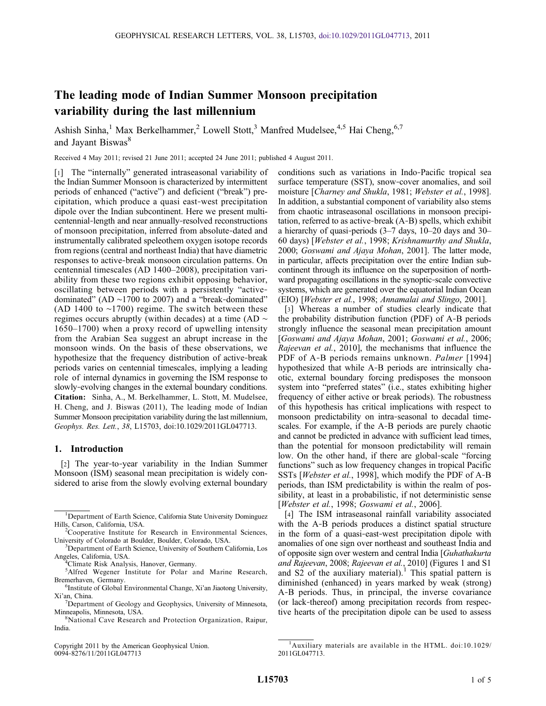# The leading mode of Indian Summer Monsoon precipitation variability during the last millennium

Ashish Sinha,<sup>1</sup> Max Berkelhammer,<sup>2</sup> Lowell Stott,<sup>3</sup> Manfred Mudelsee,<sup>4,5</sup> Hai Cheng,<sup>6,7</sup> and Jayant Biswas<sup>8</sup>

Received 4 May 2011; revised 21 June 2011; accepted 24 June 2011; published 4 August 2011.

[1] The "internally" generated intraseasonal variability of the Indian Summer Monsoon is characterized by intermittent periods of enhanced ("active") and deficient ("break") precipitation, which produce a quasi east‐west precipitation dipole over the Indian subcontinent. Here we present multicentennial-length and near annually-resolved reconstructions of monsoon precipitation, inferred from absolute‐dated and instrumentally calibrated speleothem oxygen isotope records from regions (central and northeast India) that have diametric responses to active‐break monsoon circulation patterns. On centennial timescales (AD 1400–2008), precipitation variability from these two regions exhibit opposing behavior, oscillating between periods with a persistently "active‐ dominated" (AD ∼1700 to 2007) and a "break‐dominated" (AD 1400 to ∼1700) regime. The switch between these regimes occurs abruptly (within decades) at a time (AD ∼ 1650–1700) when a proxy record of upwelling intensity from the Arabian Sea suggest an abrupt increase in the monsoon winds. On the basis of these observations, we hypothesize that the frequency distribution of active-break periods varies on centennial timescales, implying a leading role of internal dynamics in governing the ISM response to slowly-evolving changes in the external boundary conditions. Citation: Sinha, A., M. Berkelhammer, L. Stott, M. Mudelsee, H. Cheng, and J. Biswas (2011), The leading mode of Indian Summer Monsoon precipitation variability during the last millennium, Geophys. Res. Lett., 38, L15703, doi:10.1029/2011GL047713.

### 1. Introduction

[2] The year-to-year variability in the Indian Summer Monsoon (ISM) seasonal mean precipitation is widely considered to arise from the slowly evolving external boundary

Copyright 2011 by the American Geophysical Union. 0094‐8276/11/2011GL047713

conditions such as variations in Indo‐Pacific tropical sea surface temperature (SST), snow-cover anomalies, and soil moisture [Charney and Shukla, 1981; Webster et al., 1998]. In addition, a substantial component of variability also stems from chaotic intraseasonal oscillations in monsoon precipitation, referred to as active‐break (A‐B) spells, which exhibit a hierarchy of quasi‐periods (3–7 days, 10–20 days and 30– 60 days) [Webster et al., 1998; Krishnamurthy and Shukla, 2000; Goswami and Ajaya Mohan, 2001]. The latter mode, in particular, affects precipitation over the entire Indian subcontinent through its influence on the superposition of northward propagating oscillations in the synoptic–scale convective systems, which are generated over the equatorial Indian Ocean (EIO) [Webster et al., 1998; Annamalai and Slingo, 2001].

[3] Whereas a number of studies clearly indicate that the probability distribution function (PDF) of A‐B periods strongly influence the seasonal mean precipitation amount [Goswami and Ajaya Mohan, 2001; Goswami et al., 2006; Rajeevan et al., 2010], the mechanisms that influence the PDF of A-B periods remains unknown. Palmer [1994] hypothesized that while A‐B periods are intrinsically chaotic, external boundary forcing predisposes the monsoon system into "preferred states" (i.e., states exhibiting higher frequency of either active or break periods). The robustness of this hypothesis has critical implications with respect to monsoon predictability on intra‐seasonal to decadal timescales. For example, if the A‐B periods are purely chaotic and cannot be predicted in advance with sufficient lead times, than the potential for monsoon predictability will remain low. On the other hand, if there are global‐scale "forcing functions" such as low frequency changes in tropical Pacific SSTs [Webster et al., 1998], which modify the PDF of A-B periods, than ISM predictability is within the realm of possibility, at least in a probabilistic, if not deterministic sense [Webster et al., 1998; Goswami et al., 2006].

[4] The ISM intraseasonal rainfall variability associated with the A-B periods produces a distinct spatial structure in the form of a quasi‐east‐west precipitation dipole with anomalies of one sign over northeast and southeast India and of opposite sign over western and central India [Guhathakurta and Rajeevan, 2008; Rajeevan et al., 2010] (Figures 1 and S1 and  $S<sub>2</sub>$  of the auxiliary material).<sup>1</sup> This spatial pattern is diminished (enhanced) in years marked by weak (strong) A‐B periods. Thus, in principal, the inverse covariance (or lack‐thereof) among precipitation records from respective hearts of the precipitation dipole can be used to assess

<sup>&</sup>lt;sup>1</sup>Department of Earth Science, California State University Dominguez Hills, Carson, California, USA. <sup>2</sup>

Cooperative Institute for Research in Environmental Sciences, University of Colorado at Boulder, Boulder, Colorado, USA. <sup>3</sup>

<sup>&</sup>lt;sup>3</sup>Department of Earth Science, University of Southern California, Los Angeles, California, USA. <sup>4</sup>

<sup>&</sup>lt;sup>4</sup>Climate Risk Analysis, Hanover, Germany.

<sup>&</sup>lt;sup>5</sup>Alfred Wegener Institute for Polar and Marine Research, Bremerhaven, Germany.

<sup>&</sup>lt;sup>6</sup>Institute of Global Environmental Change, Xi'an Jiaotong University, Xi'an, China.

 $7$ Department of Geology and Geophysics, University of Minnesota, Minneapolis, Minnesota, USA. <sup>8</sup>

<sup>&</sup>lt;sup>8</sup>National Cave Research and Protection Organization, Raipur, India.

<sup>&</sup>lt;sup>1</sup>Auxiliary materials are available in the HTML. doi:10.1029/ 2011GL047713.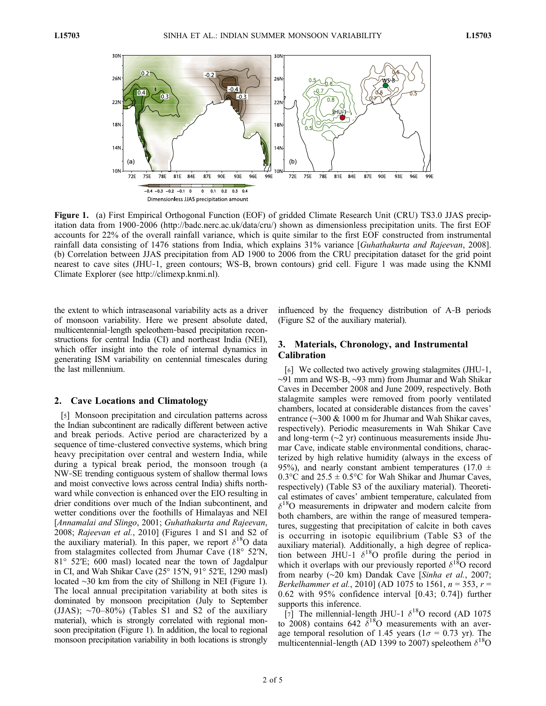

Figure 1. (a) First Empirical Orthogonal Function (EOF) of gridded Climate Research Unit (CRU) TS3.0 JJAS precipitation data from 1900‐2006 (http://badc.nerc.ac.uk/data/cru/) shown as dimensionless precipitation units. The first EOF accounts for 22% of the overall rainfall variance, which is quite similar to the first EOF constructed from instrumental rainfall data consisting of 1476 stations from India, which explains 31% variance [Guhathakurta and Rajeevan, 2008]. (b) Correlation between JJAS precipitation from AD 1900 to 2006 from the CRU precipitation dataset for the grid point nearest to cave sites (JHU‐1, green contours; WS‐B, brown contours) grid cell. Figure 1 was made using the KNMI Climate Explorer (see http://climexp.knmi.nl).

the extent to which intraseasonal variability acts as a driver of monsoon variability. Here we present absolute dated, multicentennial‐length speleothem‐based precipitation reconstructions for central India (CI) and northeast India (NEI), which offer insight into the role of internal dynamics in generating ISM variability on centennial timescales during the last millennium.

## 2. Cave Locations and Climatology

[5] Monsoon precipitation and circulation patterns across the Indian subcontinent are radically different between active and break periods. Active period are characterized by a sequence of time-clustered convective systems, which bring heavy precipitation over central and western India, while during a typical break period, the monsoon trough (a NW‐SE trending contiguous system of shallow thermal lows and moist convective lows across central India) shifts northward while convection is enhanced over the EIO resulting in drier conditions over much of the Indian subcontinent, and wetter conditions over the foothills of Himalayas and NEI [Annamalai and Slingo, 2001; Guhathakurta and Rajeevan, 2008; Rajeevan et al., 2010] (Figures 1 and S1 and S2 of the auxiliary material). In this paper, we report  $\delta^{18}O$  data from stalagmites collected from Jhumar Cave (18° 52′N, 81° 52′E; 600 masl) located near the town of Jagdalpur in CI, and Wah Shikar Cave (25° 15′N, 91° 52′E, 1290 masl) located ∼30 km from the city of Shillong in NEI (Figure 1). The local annual precipitation variability at both sites is dominated by monsoon precipitation (July to September (JJAS);  $\sim$ 70–80%) (Tables S1 and S2 of the auxiliary material), which is strongly correlated with regional monsoon precipitation (Figure 1). In addition, the local to regional monsoon precipitation variability in both locations is strongly

influenced by the frequency distribution of A‐B periods (Figure S2 of the auxiliary material).

## 3. Materials, Chronology, and Instrumental Calibration

[6] We collected two actively growing stalagmites (JHU‐1, ∼91 mm and WS‐B, ∼93 mm) from Jhumar and Wah Shikar Caves in December 2008 and June 2009, respectively. Both stalagmite samples were removed from poorly ventilated chambers, located at considerable distances from the caves' entrance (∼300 & 1000 m for Jhumar and Wah Shikar caves, respectively). Periodic measurements in Wah Shikar Cave and long‐term (∼2 yr) continuous measurements inside Jhumar Cave, indicate stable environmental conditions, characterized by high relative humidity (always in the excess of 95%), and nearly constant ambient temperatures (17.0  $\pm$ 0.3 $^{\circ}$ C and 25.5  $\pm$  0.5 $^{\circ}$ C for Wah Shikar and Jhumar Caves, respectively) (Table S3 of the auxiliary material). Theoretical estimates of caves' ambient temperature, calculated from  $\delta^{18}$ O measurements in dripwater and modern calcite from both chambers, are within the range of measured temperatures, suggesting that precipitation of calcite in both caves is occurring in isotopic equilibrium (Table S3 of the auxiliary material). Additionally, a high degree of replication between JHU-1  $\delta^{18}$ O profile during the period in which it overlaps with our previously reported  $\delta^{18}$ O record from nearby (∼20 km) Dandak Cave [Sinha et al., 2007; Berkelhammer et al., 2010] (AD 1075 to 1561,  $n = 353$ ,  $r =$ 0.62 with 95% confidence interval [0.43; 0.74]) further supports this inference.

[7] The millennial-length JHU-1  $\delta^{18}$ O record (AD 1075) to 2008) contains 642  $\delta^{18}$ O measurements with an average temporal resolution of 1.45 years ( $1\sigma = 0.73$  yr). The multicentennial-length (AD 1399 to 2007) speleothem  $\delta^{18}O$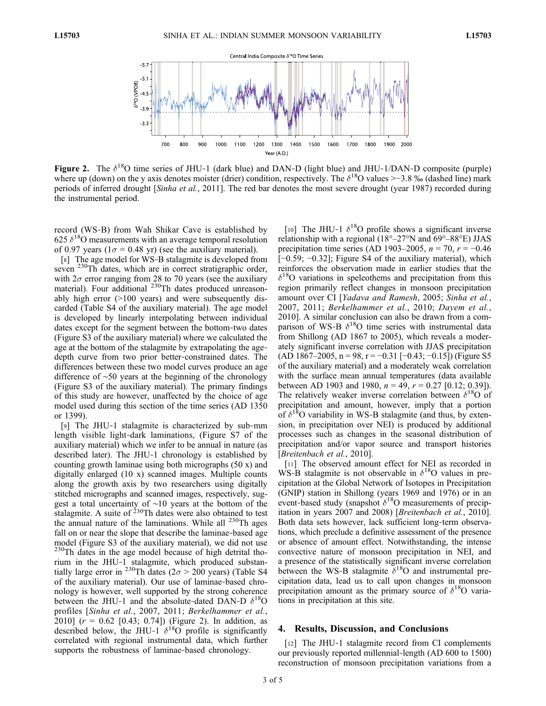

**Figure 2.** The  $\delta^{18}$ O time series of JHU-1 (dark blue) and DAN-D (light blue) and JHU-1/DAN-D composite (purple) where up (down) on the y axis denotes moister (drier) condition, respectively. The  $\delta^{18}$ O values >−3.8 ‰ (dashed line) mark periods of inferred drought [Sinha et al., 2011]. The red bar denotes the most severe drought (year 1987) recorded during the instrumental period.

record (WS‐B) from Wah Shikar Cave is established by 625  $\delta^{18}$ O measurements with an average temporal resolution of 0.97 years ( $1\sigma = 0.48$  yr) (see the auxiliary material).

[8] The age model for WS-B stalagmite is developed from seven <sup>230</sup>Th dates, which are in correct stratigraphic order, with  $2\sigma$  error ranging from 28 to 70 years (see the auxiliary material). Four additional <sup>230</sup>Th dates produced unreasonably high error (>100 years) and were subsequently discarded (Table S4 of the auxiliary material). The age model is developed by linearly interpolating between individual dates except for the segment between the bottom‐two dates (Figure S3 of the auxiliary material) where we calculated the age at the bottom of the stalagmite by extrapolating the agedepth curve from two prior better‐constrained dates. The differences between these two model curves produce an age difference of ∼50 years at the beginning of the chronology (Figure S3 of the auxiliary material). The primary findings of this study are however, unaffected by the choice of age model used during this section of the time series (AD 1350 or 1399).

[9] The JHU-1 stalagmite is characterized by sub-mm length visible light‐dark laminations, (Figure S7 of the auxiliary material) which we infer to be annual in nature (as described later). The JHU‐1 chronology is established by counting growth laminae using both micrographs (50 x) and digitally enlarged (10 x) scanned images. Multiple counts along the growth axis by two researchers using digitally stitched micrographs and scanned images, respectively, suggest a total uncertainty of ∼10 years at the bottom of the stalagmite. A suite of  $230$ Th dates were also obtained to test the annual nature of the laminations. While all  $^{230}$ Th ages fall on or near the slope that describe the laminae-based age model (Figure S3 of the auxiliary material), we did not use 230Th dates in the age model because of high detrital thorium in the JHU‐1 stalagmite, which produced substantially large error in <sup>230</sup>Th dates ( $2\sigma > 200$  years) (Table S4 of the auxiliary material). Our use of laminae‐based chronology is however, well supported by the strong coherence between the JHU-1 and the absolute-dated DAN-D  $\delta^{18}$ O profiles [Sinha et al., 2007, 2011; Berkelhammer et al., 2010]  $(r = 0.62$  [0.43; 0.74]) (Figure 2). In addition, as described below, the JHU-1  $\delta^{18}$ O profile is significantly correlated with regional instrumental data, which further supports the robustness of laminae-based chronology.

[10] The JHU-1  $\delta^{18}$ O profile shows a significant inverse relationship with a regional (18°–27°N and 69°–88°E) JJAS precipitation time series (AD 1903–2005,  $n = 70$ ,  $r = -0.46$ [−0.59; −0.32]; Figure S4 of the auxiliary material), which reinforces the observation made in earlier studies that the  $\delta^{18}$ O variations in speleothems and precipitation from this region primarily reflect changes in monsoon precipitation amount over CI [Yadava and Ramesh, 2005; Sinha et al., 2007, 2011; Berkelhammer et al., 2010; Dayem et al., 2010]. A similar conclusion can also be drawn from a comparison of WS-B  $\delta^{18}$ O time series with instrumental data from Shillong (AD 1867 to 2005), which reveals a moderately significant inverse correlation with JJAS precipitation (AD 1867–2005, n = 98, r = -0.31 [-0.43; -0.15]) (Figure S5 of the auxiliary material) and a moderately weak correlation with the surface mean annual temperatures (data available between AD 1903 and 1980,  $n = 49$ ,  $r = 0.27$  [0.12; 0.39]). The relatively weaker inverse correlation between  $\delta^{18}$ O of precipitation and amount, however, imply that a portion of  $\delta^{18}$ O variability in WS-B stalagmite (and thus, by extension, in precipitation over NEI) is produced by additional processes such as changes in the seasonal distribution of precipitation and/or vapor source and transport histories [Breitenbach et al., 2010].

[11] The observed amount effect for NEI as recorded in WS-B stalagmite is not observable in  $\delta^{18}$ O values in precipitation at the Global Network of Isotopes in Precipitation (GNIP) station in Shillong (years 1969 and 1976) or in an event-based study (snapshot  $\delta^{18}$ O measurements of precipitation in years 2007 and 2008) [Breitenbach et al., 2010]. Both data sets however, lack sufficient long‐term observations, which preclude a definitive assessment of the presence or absence of amount effect. Notwithstanding, the intense convective nature of monsoon precipitation in NEI, and a presence of the statistically significant inverse correlation between the WS-B stalagmite  $\delta^{18}$ O and instrumental precipitation data, lead us to call upon changes in monsoon precipitation amount as the primary source of  $\delta^{18}$ O variations in precipitation at this site.

## 4. Results, Discussion, and Conclusions

[12] The JHU-1 stalagmite record from CI complements our previously reported millennial‐length (AD 600 to 1500) reconstruction of monsoon precipitation variations from a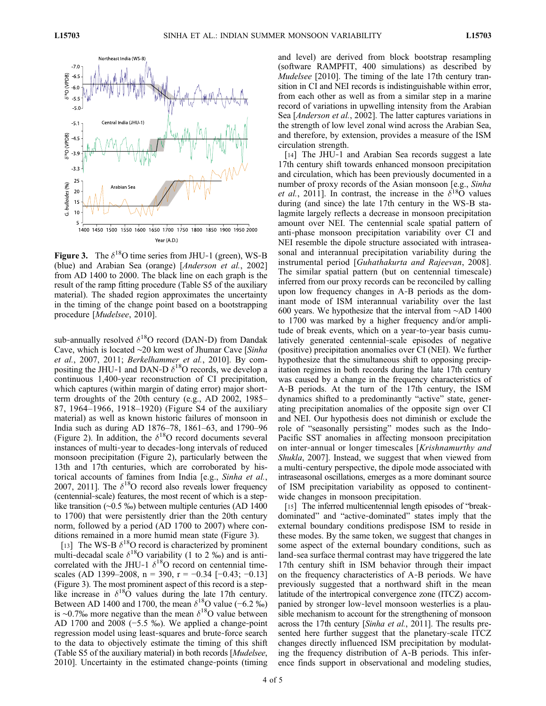

**Figure 3.** The  $\delta^{18}$ O time series from JHU-1 (green), WS-B (blue) and Arabian Sea (orange) [Anderson et al., 2002] from AD 1400 to 2000. The black line on each graph is the result of the ramp fitting procedure (Table S5 of the auxiliary material). The shaded region approximates the uncertainty in the timing of the change point based on a bootstrapping procedure [Mudelsee, 2010].

sub-annually resolved  $\delta^{18}O$  record (DAN-D) from Dandak Cave, which is located ∼20 km west of Jhumar Cave [Sinha et al., 2007, 2011; Berkelhammer et al., 2010]. By compositing the JHU-1 and DAN-D  $\delta^{18}$ O records, we develop a continuous 1,400‐year reconstruction of CI precipitation, which captures (within margin of dating error) major shortterm droughts of the 20th century (e.g., AD 2002, 1985– 87, 1964–1966, 1918–1920) (Figure S4 of the auxiliary material) as well as known historic failures of monsoon in India such as during AD 1876–78, 1861–63, and 1790–96 (Figure 2). In addition, the  $\delta^{18}O$  record documents several instances of multi‐year to decades‐long intervals of reduced monsoon precipitation (Figure 2), particularly between the 13th and 17th centuries, which are corroborated by historical accounts of famines from India [e.g., Sinha et al., 2007, 2011]. The  $\delta^{18}O$  record also reveals lower frequency (centennial‐scale) features, the most recent of which is a step‐ like transition (∼0.5 ‰) between multiple centuries (AD 1400 to 1700) that were persistently drier than the 20th century norm, followed by a period (AD 1700 to 2007) where conditions remained in a more humid mean state (Figure 3).

[13] The WS-B  $\delta^{18}$ O record is characterized by prominent multi-decadal scale  $\delta^{18}$ O variability (1 to 2 ‰) and is anticorrelated with the JHU-1  $\delta^{18}$ O record on centennial timescales (AD 1399–2008, n = 390, r =  $-0.34$  [ $-0.43$ ;  $-0.13$ ] (Figure 3). The most prominent aspect of this record is a step‐ like increase in  $\delta^{18}$ O values during the late 17th century. Between AD 1400 and 1700, the mean  $\delta^{18}$ O value (−6.2 ‰) is ∼0.7‰ more negative than the mean  $\delta^{18}$ O value between AD 1700 and 2008 ( $-5.5\%$ ). We applied a change-point regression model using least‐squares and brute‐force search to the data to objectively estimate the timing of this shift (Table S5 of the auxiliary material) in both records [Mudelsee, 2010]. Uncertainty in the estimated change‐points (timing

and level) are derived from block bootstrap resampling (software RAMPFIT, 400 simulations) as described by Mudelsee [2010]. The timing of the late 17th century transition in CI and NEI records is indistinguishable within error, from each other as well as from a similar step in a marine record of variations in upwelling intensity from the Arabian Sea [*Anderson et al.*, 2002]. The latter captures variations in the strength of low level zonal wind across the Arabian Sea, and therefore, by extension, provides a measure of the ISM circulation strength.

[14] The JHU-1 and Arabian Sea records suggest a late 17th century shift towards enhanced monsoon precipitation and circulation, which has been previously documented in a number of proxy records of the Asian monsoon [e.g., Sinha et al., 2011]. In contrast, the increase in the  $\delta^{18}O$  values during (and since) the late 17th century in the WS‐B stalagmite largely reflects a decrease in monsoon precipitation amount over NEI. The centennial scale spatial pattern of anti‐phase monsoon precipitation variability over CI and NEI resemble the dipole structure associated with intraseasonal and interannual precipitation variability during the instrumental period [Guhathakurta and Rajeevan, 2008]. The similar spatial pattern (but on centennial timescale) inferred from our proxy records can be reconciled by calling upon low frequency changes in A‐B periods as the dominant mode of ISM interannual variability over the last 600 years. We hypothesize that the interval from ∼AD 1400 to 1700 was marked by a higher frequency and/or amplitude of break events, which on a year‐to‐year basis cumulatively generated centennial‐scale episodes of negative (positive) precipitation anomalies over CI (NEI). We further hypothesize that the simultaneous shift to opposing precipitation regimes in both records during the late 17th century was caused by a change in the frequency characteristics of A‐B periods. At the turn of the 17th century, the ISM dynamics shifted to a predominantly "active" state, generating precipitation anomalies of the opposite sign over CI and NEI. Our hypothesis does not diminish or exclude the role of "seasonally persisting" modes such as the Indo-Pacific SST anomalies in affecting monsoon precipitation on inter-annual or longer timescales [Krishnamurthy and Shukla, 2007]. Instead, we suggest that when viewed from a multi‐century perspective, the dipole mode associated with intraseasonal oscillations, emerges as a more dominant source of ISM precipitation variability as opposed to continent‐ wide changes in monsoon precipitation.

[15] The inferred multicentennial length episodes of "breakdominated" and "active‐dominated" states imply that the external boundary conditions predispose ISM to reside in these modes. By the same token, we suggest that changes in some aspect of the external boundary conditions, such as land‐sea surface thermal contrast may have triggered the late 17th century shift in ISM behavior through their impact on the frequency characteristics of A‐B periods. We have previously suggested that a northward shift in the mean latitude of the intertropical convergence zone (ITCZ) accompanied by stronger low‐level monsoon westerlies is a plausible mechanism to account for the strengthening of monsoon across the 17th century [Sinha et al., 2011]. The results presented here further suggest that the planetary-scale ITCZ changes directly influenced ISM precipitation by modulating the frequency distribution of A‐B periods. This inference finds support in observational and modeling studies,